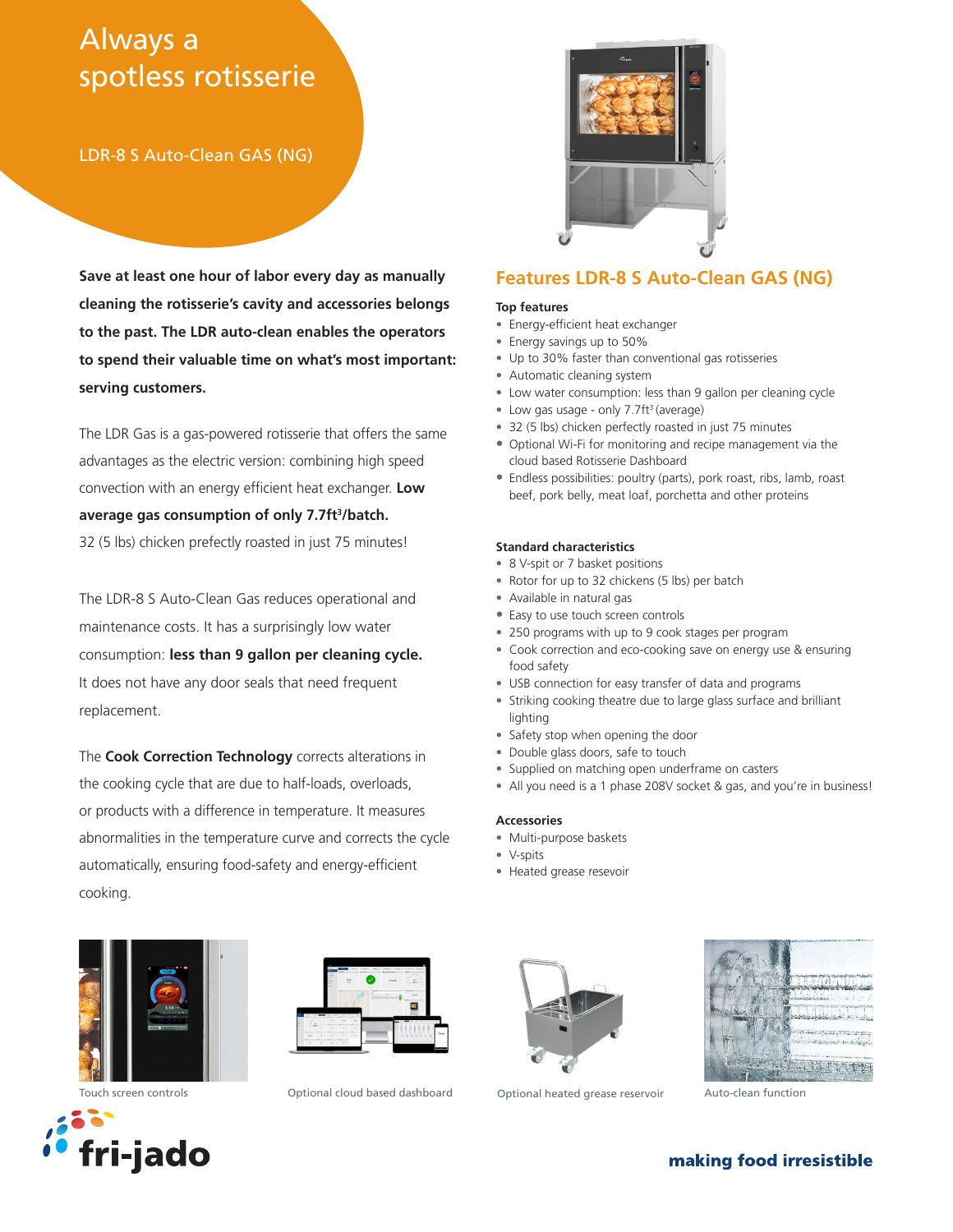# Always a spotless rotisserie

LDR-8 S Auto-Clean GAS (NG)

**Save at least one hour of labor every day as manually cleaning the rotisserie's cavity and accessories belongs to the past. The LDR auto-clean enables the operators to spend their valuable time on what's most important: serving customers.**

The LDR Gas is a gas-powered rotisserie that offers the same advantages as the electric version: combining high speed convection with an energy efficient heat exchanger. **Low**  average gas consumption of only 7.7ft<sup>3</sup>/batch. 32 (5 lbs) chicken prefectly roasted in just 75 minutes!

The LDR-8 S Auto-Clean Gas reduces operational and maintenance costs. It has a surprisingly low water consumption: **less than 9 gallon per cleaning cycle.**  It does not have any door seals that need frequent replacement.

The **Cook Correction Technology** corrects alterations in the cooking cycle that are due to half-loads, overloads, or products with a difference in temperature. It measures abnormalities in the temperature curve and corrects the cycle automatically, ensuring food-safety and energy-efficient cooking.



## **Features LDR-8 S Auto-Clean GAS (NG)**

#### **Top features**

- Energy-efficient heat exchanger
- Energy savings up to 50%
- Up to 30% faster than conventional gas rotisseries
- Automatic cleaning system
- Low water consumption: less than 9 gallon per cleaning cycle
- Low gas usage only 7.7ft<sup>3</sup> (average)
- 32 (5 lbs) chicken perfectly roasted in just 75 minutes
- Optional Wi-Fi for monitoring and recipe management via the cloud based Rotisserie Dashboard
- Endless possibilities: poultry (parts), pork roast, ribs, lamb, roast beef, pork belly, meat loaf, porchetta and other proteins

#### **Standard characteristics**

- 8 V-spit or 7 basket positions
- Rotor for up to 32 chickens (5 lbs) per batch
- Available in natural gas
- Easy to use touch screen controls
- 250 programs with up to 9 cook stages per program
- Cook correction and eco-cooking save on energy use & ensuring food safety
- USB connection for easy transfer of data and programs
- Striking cooking theatre due to large glass surface and brilliant lighting
- Safety stop when opening the door
- Double glass doors, safe to touch
- Supplied on matching open underframe on casters
- All you need is a 1 phase 208V socket & gas, and you're in business!

#### **Accessories**

- Multi-purpose baskets
- V-spits
- Heated grease resevoir









Touch screen controls **Same Contineer Control Control** Contoinal heated grease reservoir and to-clean function



## making food irresistible